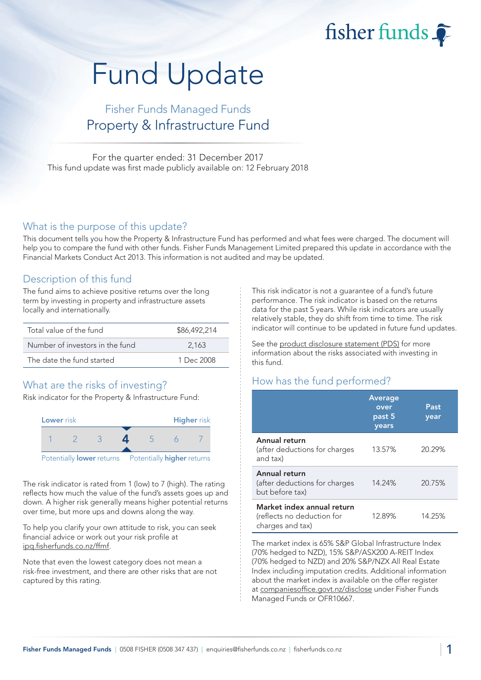fisher funds  $\widehat{\bullet}$ 

# Fund Update

## Fisher Funds Managed Funds Property & Infrastructure Fund

For the quarter ended: 31 December 2017 This fund update was first made publicly available on: 12 February 2018

#### What is the purpose of this update?

This document tells you how the Property & Infrastructure Fund has performed and what fees were charged. The document will help you to compare the fund with other funds. Fisher Funds Management Limited prepared this update in accordance with the Financial Markets Conduct Act 2013. This information is not audited and may be updated.

## Description of this fund

The fund aims to achieve positive returns over the long term by investing in property and infrastructure assets locally and internationally.

| Total value of the fund         | \$86,492,214 |
|---------------------------------|--------------|
| Number of investors in the fund | 2.163        |
| The date the fund started       | 1 Dec 2008   |

## What are the risks of investing?

Risk indicator for the Property & Infrastructure Fund:



The risk indicator is rated from 1 (low) to 7 (high). The rating reflects how much the value of the fund's assets goes up and down. A higher risk generally means higher potential returns over time, but more ups and downs along the way.

To help you clarify your own attitude to risk, you can seek financial advice or work out your risk profile at ipq.fisherfunds.co.nz/ffmf.

Note that even the lowest category does not mean a risk-free investment, and there are other risks that are not captured by this rating.

This risk indicator is not a guarantee of a fund's future performance. The risk indicator is based on the returns data for the past 5 years. While risk indicators are usually relatively stable, they do shift from time to time. The risk indicator will continue to be updated in future fund updates.

See the product disclosure statement (PDS) for more information about the risks associated with investing in this fund.

## How has the fund performed?

|                                                                              | <b>Average</b><br>over<br>past 5<br>years | Past<br>year |
|------------------------------------------------------------------------------|-------------------------------------------|--------------|
| Annual return<br>(after deductions for charges<br>and tax)                   | 13.57%                                    | 20.29%       |
| Annual return<br>(after deductions for charges<br>but before tax)            | 14.24%                                    | 20.75%       |
| Market index annual return<br>(reflects no deduction for<br>charges and tax) | 12.89%                                    | 14.25%       |

The market index is 65% S&P Global Infrastructure Index (70% hedged to NZD), 15% S&P/ASX200 A-REIT Index (70% hedged to NZD) and 20% S&P/NZX All Real Estate Index including imputation credits. Additional information about the market index is available on the offer register at companiesoffice.govt.nz/disclose under Fisher Funds Managed Funds or OFR10667.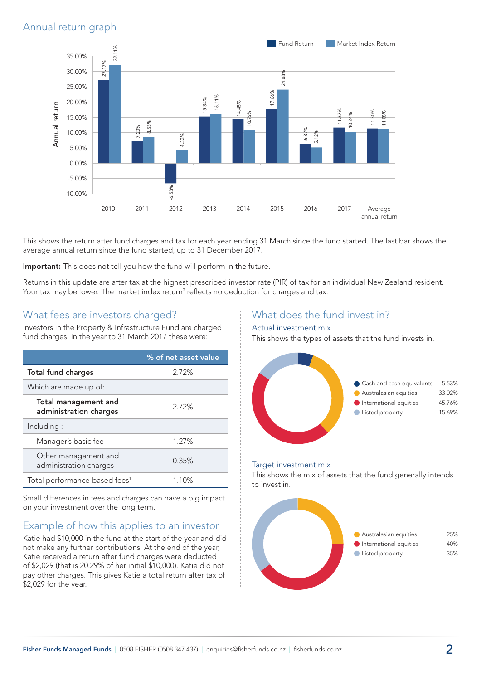## Annual return graph



This shows the return after fund charges and tax for each year ending 31 March since the fund started. The last bar shows the average annual return since the fund started, up to 31 December 2017.

Important: This does not tell you how the fund will perform in the future.

Returns in this update are after tax at the highest prescribed investor rate (PIR) of tax for an individual New Zealand resident. Your tax may be lower. The market index return<sup>2</sup> reflects no deduction for charges and tax.

## What fees are investors charged?

Investors in the Property & Infrastructure Fund are charged fund charges. In the year to 31 March 2017 these were:

|                                                | % of net asset value |
|------------------------------------------------|----------------------|
| <b>Total fund charges</b>                      | 2.72%                |
| Which are made up of:                          |                      |
| Total management and<br>administration charges | 2.72%                |
| Including:                                     |                      |
| Manager's basic fee                            | 1.27%                |
| Other management and<br>administration charges | 0.35%                |
| Total performance-based fees <sup>1</sup>      | 1.10%                |

Small differences in fees and charges can have a big impact on your investment over the long term.

## Example of how this applies to an investor

Katie had \$10,000 in the fund at the start of the year and did not make any further contributions. At the end of the year, Katie received a return after fund charges were deducted of \$2,029 (that is 20.29% of her initial \$10,000). Katie did not pay other charges. This gives Katie a total return after tax of \$2,029 for the year.

## What does the fund invest in?

#### Actual investment mix

This shows the types of assets that the fund invests in.



#### Target investment mix

This shows the mix of assets that the fund generally intends to invest in.